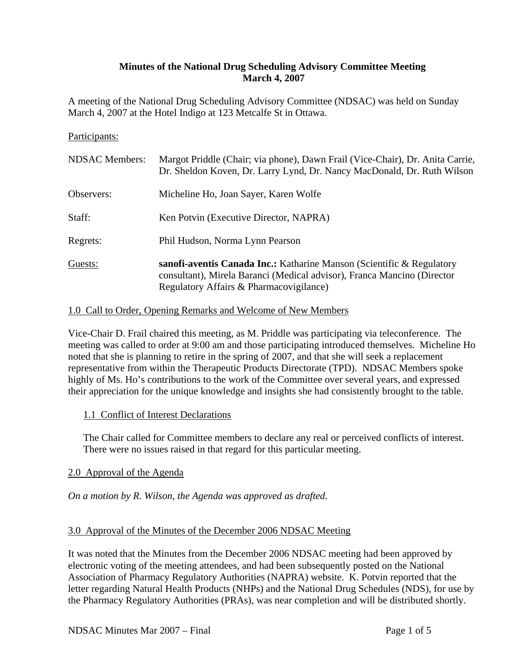## **Minutes of the National Drug Scheduling Advisory Committee Meeting March 4, 2007**

A meeting of the National Drug Scheduling Advisory Committee (NDSAC) was held on Sunday March 4, 2007 at the Hotel Indigo at 123 Metcalfe St in Ottawa.

#### Participants:

| <b>NDSAC</b> Members: | Margot Priddle (Chair; via phone), Dawn Frail (Vice-Chair), Dr. Anita Carrie,<br>Dr. Sheldon Koven, Dr. Larry Lynd, Dr. Nancy MacDonald, Dr. Ruth Wilson                                    |
|-----------------------|---------------------------------------------------------------------------------------------------------------------------------------------------------------------------------------------|
| Observers:            | Micheline Ho, Joan Sayer, Karen Wolfe                                                                                                                                                       |
| Staff:                | Ken Potvin (Executive Director, NAPRA)                                                                                                                                                      |
| Regrets:              | Phil Hudson, Norma Lynn Pearson                                                                                                                                                             |
| Guests:               | sanofi-aventis Canada Inc.: Katharine Manson (Scientific & Regulatory<br>consultant), Mirela Baranci (Medical advisor), Franca Mancino (Director<br>Regulatory Affairs & Pharmacovigilance) |

#### 1.0 Call to Order, Opening Remarks and Welcome of New Members

Vice-Chair D. Frail chaired this meeting, as M. Priddle was participating via teleconference. The meeting was called to order at 9:00 am and those participating introduced themselves. Micheline Ho noted that she is planning to retire in the spring of 2007, and that she will seek a replacement representative from within the Therapeutic Products Directorate (TPD). NDSAC Members spoke highly of Ms. Ho's contributions to the work of the Committee over several years, and expressed their appreciation for the unique knowledge and insights she had consistently brought to the table.

### 1.1 Conflict of Interest Declarations

The Chair called for Committee members to declare any real or perceived conflicts of interest. There were no issues raised in that regard for this particular meeting.

### 2.0 Approval of the Agenda

*On a motion by R. Wilson, the Agenda was approved as drafted.* 

#### 3.0 Approval of the Minutes of the December 2006 NDSAC Meeting

It was noted that the Minutes from the December 2006 NDSAC meeting had been approved by electronic voting of the meeting attendees, and had been subsequently posted on the National Association of Pharmacy Regulatory Authorities (NAPRA) website. K. Potvin reported that the letter regarding Natural Health Products (NHPs) and the National Drug Schedules (NDS), for use by the Pharmacy Regulatory Authorities (PRAs), was near completion and will be distributed shortly.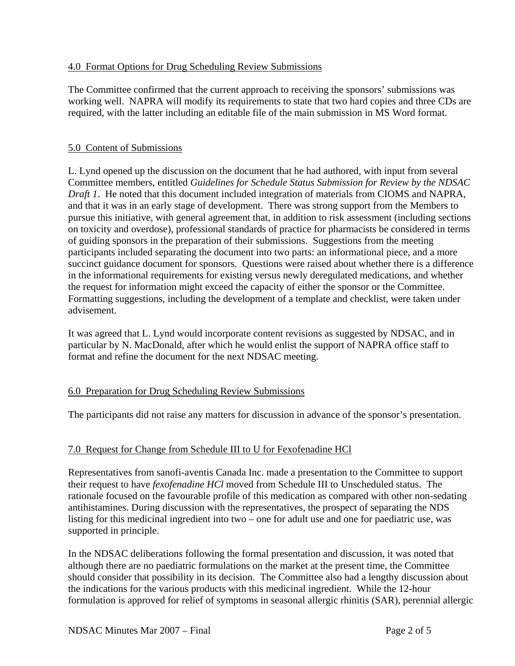## 4.0 Format Options for Drug Scheduling Review Submissions

The Committee confirmed that the current approach to receiving the sponsors' submissions was working well. NAPRA will modify its requirements to state that two hard copies and three CDs are required, with the latter including an editable file of the main submission in MS Word format.

### 5.0 Content of Submissions

L. Lynd opened up the discussion on the document that he had authored, with input from several Committee members, entitled *Guidelines for Schedule Status Submission for Review by the NDSAC Draft 1*. He noted that this document included integration of materials from CIOMS and NAPRA, and that it was in an early stage of development. There was strong support from the Members to pursue this initiative, with general agreement that, in addition to risk assessment (including sections on toxicity and overdose), professional standards of practice for pharmacists be considered in terms of guiding sponsors in the preparation of their submissions. Suggestions from the meeting participants included separating the document into two parts: an informational piece, and a more succinct guidance document for sponsors. Questions were raised about whether there is a difference in the informational requirements for existing versus newly deregulated medications, and whether the request for information might exceed the capacity of either the sponsor or the Committee. Formatting suggestions, including the development of a template and checklist, were taken under advisement.

It was agreed that L. Lynd would incorporate content revisions as suggested by NDSAC, and in particular by N. MacDonald, after which he would enlist the support of NAPRA office staff to format and refine the document for the next NDSAC meeting.

# 6.0 Preparation for Drug Scheduling Review Submissions

The participants did not raise any matters for discussion in advance of the sponsor's presentation.

# 7.0 Request for Change from Schedule III to U for Fexofenadine HCl

Representatives from sanofi-aventis Canada Inc. made a presentation to the Committee to support their request to have *fexofenadine HCl* moved from Schedule III to Unscheduled status. The rationale focused on the favourable profile of this medication as compared with other non-sedating antihistamines. During discussion with the representatives, the prospect of separating the NDS listing for this medicinal ingredient into two – one for adult use and one for paediatric use, was supported in principle.

In the NDSAC deliberations following the formal presentation and discussion, it was noted that although there are no paediatric formulations on the market at the present time, the Committee should consider that possibility in its decision. The Committee also had a lengthy discussion about the indications for the various products with this medicinal ingredient. While the 12-hour formulation is approved for relief of symptoms in seasonal allergic rhinitis (SAR), perennial allergic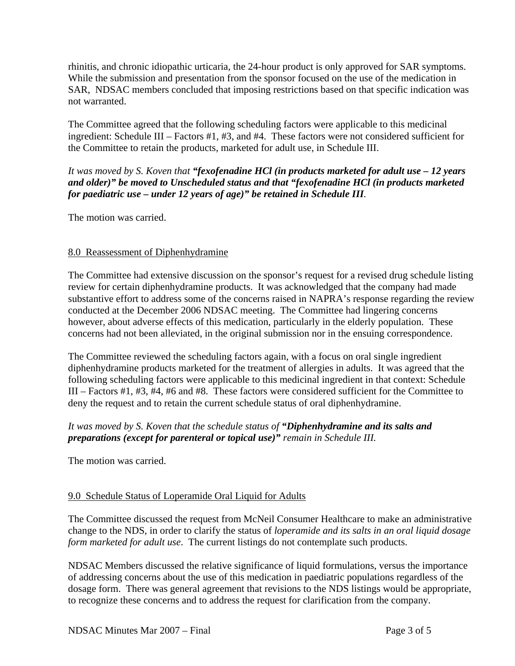rhinitis, and chronic idiopathic urticaria, the 24-hour product is only approved for SAR symptoms. While the submission and presentation from the sponsor focused on the use of the medication in SAR, NDSAC members concluded that imposing restrictions based on that specific indication was not warranted.

The Committee agreed that the following scheduling factors were applicable to this medicinal ingredient: Schedule III – Factors #1, #3, and #4. These factors were not considered sufficient for the Committee to retain the products, marketed for adult use, in Schedule III.

*It was moved by S. Koven that "fexofenadine HCl (in products marketed for adult use – 12 years and older)" be moved to Unscheduled status and that "fexofenadine HCl (in products marketed for paediatric use – under 12 years of age)" be retained in Schedule III.* 

The motion was carried.

# 8.0 Reassessment of Diphenhydramine

The Committee had extensive discussion on the sponsor's request for a revised drug schedule listing review for certain diphenhydramine products. It was acknowledged that the company had made substantive effort to address some of the concerns raised in NAPRA's response regarding the review conducted at the December 2006 NDSAC meeting. The Committee had lingering concerns however, about adverse effects of this medication, particularly in the elderly population. These concerns had not been alleviated, in the original submission nor in the ensuing correspondence.

The Committee reviewed the scheduling factors again, with a focus on oral single ingredient diphenhydramine products marketed for the treatment of allergies in adults. It was agreed that the following scheduling factors were applicable to this medicinal ingredient in that context: Schedule III – Factors #1, #3, #4, #6 and #8. These factors were considered sufficient for the Committee to deny the request and to retain the current schedule status of oral diphenhydramine.

# *It was moved by S. Koven that the schedule status of "Diphenhydramine and its salts and preparations (except for parenteral or topical use)" remain in Schedule III.*

The motion was carried.

# 9.0 Schedule Status of Loperamide Oral Liquid for Adults

The Committee discussed the request from McNeil Consumer Healthcare to make an administrative change to the NDS, in order to clarify the status of *loperamide and its salts in an oral liquid dosage form marketed for adult use*. The current listings do not contemplate such products.

NDSAC Members discussed the relative significance of liquid formulations, versus the importance of addressing concerns about the use of this medication in paediatric populations regardless of the dosage form. There was general agreement that revisions to the NDS listings would be appropriate, to recognize these concerns and to address the request for clarification from the company.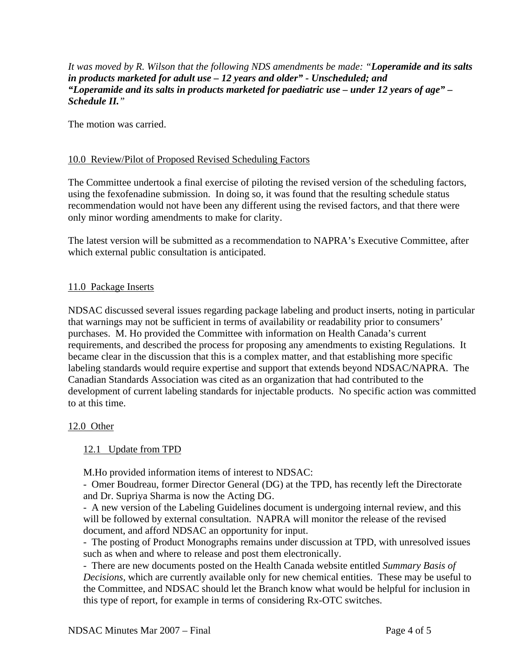*It was moved by R. Wilson that the following NDS amendments be made: "Loperamide and its salts in products marketed for adult use – 12 years and older" - Unscheduled; and "Loperamide and its salts in products marketed for paediatric use – under 12 years of age" – Schedule II."* 

The motion was carried.

## 10.0 Review/Pilot of Proposed Revised Scheduling Factors

The Committee undertook a final exercise of piloting the revised version of the scheduling factors, using the fexofenadine submission. In doing so, it was found that the resulting schedule status recommendation would not have been any different using the revised factors, and that there were only minor wording amendments to make for clarity.

The latest version will be submitted as a recommendation to NAPRA's Executive Committee, after which external public consultation is anticipated.

### 11.0 Package Inserts

NDSAC discussed several issues regarding package labeling and product inserts, noting in particular that warnings may not be sufficient in terms of availability or readability prior to consumers' purchases. M. Ho provided the Committee with information on Health Canada's current requirements, and described the process for proposing any amendments to existing Regulations. It became clear in the discussion that this is a complex matter, and that establishing more specific labeling standards would require expertise and support that extends beyond NDSAC/NAPRA. The Canadian Standards Association was cited as an organization that had contributed to the development of current labeling standards for injectable products. No specific action was committed to at this time.

### 12.0 Other

### 12.1 Update from TPD

M.Ho provided information items of interest to NDSAC:

- Omer Boudreau, former Director General (DG) at the TPD, has recently left the Directorate and Dr. Supriya Sharma is now the Acting DG.

- A new version of the Labeling Guidelines document is undergoing internal review, and this will be followed by external consultation. NAPRA will monitor the release of the revised document, and afford NDSAC an opportunity for input.

- The posting of Product Monographs remains under discussion at TPD, with unresolved issues such as when and where to release and post them electronically.

- There are new documents posted on the Health Canada website entitled *Summary Basis of Decisions*, which are currently available only for new chemical entities. These may be useful to the Committee, and NDSAC should let the Branch know what would be helpful for inclusion in this type of report, for example in terms of considering Rx-OTC switches.